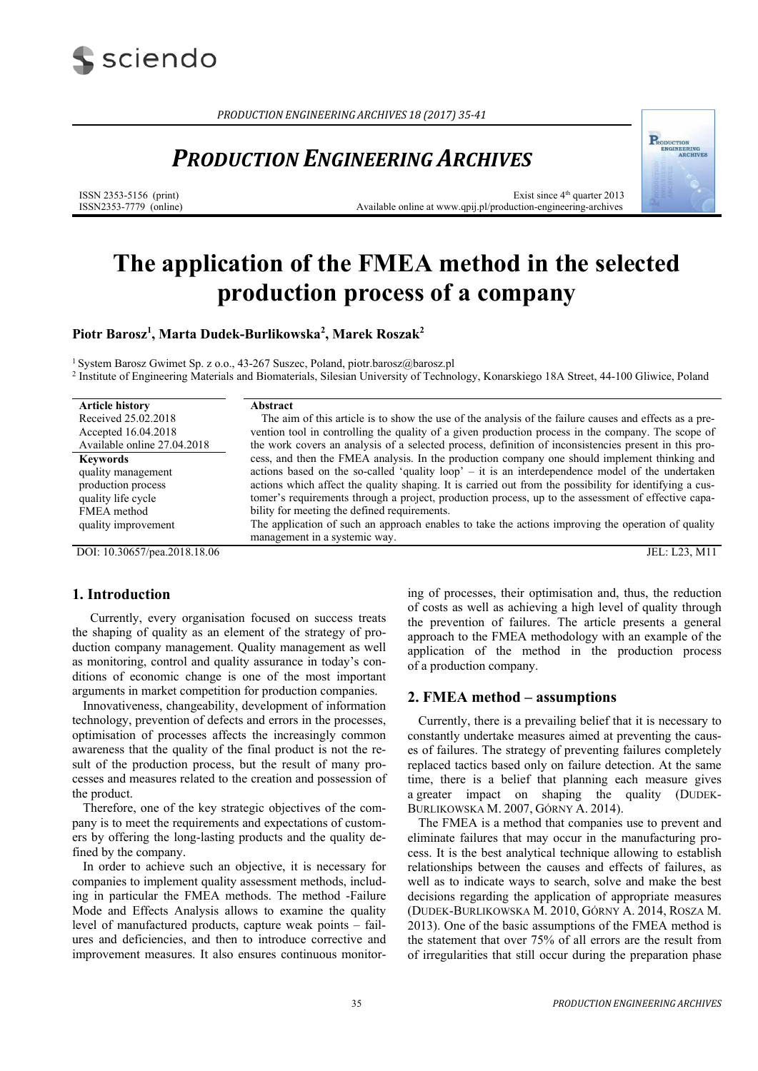

*PRODUCTION ENGINEERING ARCHIVES 18 (2017) 35‐41*

## *PRODUCTION ENGINEERING ARCHIVES*

ISSN 2353-5156 (print) ISSN2353-7779 (online)

Exist since  $4<sup>th</sup>$  quarter 2013 Available online at www.qpij.pl/production-engineering-archives

**PRODUCTION**<br>ENGINEERING<br>ARCHIVI

# **The application of the FMEA method in the selected production process of a company**

**Piotr Barosz1 , Marta Dudek-Burlikowska2 , Marek Roszak2**

<sup>1</sup> System Barosz Gwimet Sp. z o.o., 43-267 Suszec, Poland, piotr.barosz@barosz.pl<br><sup>2</sup> Institute of Engineering Materials and Biomaterials, Silesian University of Technology, Konarskiego 18A Street, 44-100 Gliwice, Poland

| <b>Article history</b>       | Abstract                                                                                                |
|------------------------------|---------------------------------------------------------------------------------------------------------|
| Received 25.02.2018          | The aim of this article is to show the use of the analysis of the failure causes and effects as a pre-  |
| Accepted 16.04.2018          | vention tool in controlling the quality of a given production process in the company. The scope of      |
| Available online 27.04.2018  | the work covers an analysis of a selected process, definition of inconsistencies present in this pro-   |
| <b>Keywords</b>              | cess, and then the FMEA analysis. In the production company one should implement thinking and           |
| quality management           | actions based on the so-called 'quality loop' – it is an interdependence model of the undertaken        |
| production process           | actions which affect the quality shaping. It is carried out from the possibility for identifying a cus- |
| quality life cycle           | tomer's requirements through a project, production process, up to the assessment of effective capa-     |
| FMEA method                  | bility for meeting the defined requirements.                                                            |
| quality improvement          | The application of such an approach enables to take the actions improving the operation of quality      |
|                              | management in a systemic way.                                                                           |
| DOI: 10.30657/pea.2018.18.06 | JEL: L23, M11                                                                                           |

#### **1. Introduction**

Currently, every organisation focused on success treats the shaping of quality as an element of the strategy of production company management. Quality management as well as monitoring, control and quality assurance in today's conditions of economic change is one of the most important arguments in market competition for production companies.

Innovativeness, changeability, development of information technology, prevention of defects and errors in the processes, optimisation of processes affects the increasingly common awareness that the quality of the final product is not the result of the production process, but the result of many processes and measures related to the creation and possession of the product.

Therefore, one of the key strategic objectives of the company is to meet the requirements and expectations of customers by offering the long-lasting products and the quality defined by the company.

In order to achieve such an objective, it is necessary for companies to implement quality assessment methods, including in particular the FMEA methods. The method -Failure Mode and Effects Analysis allows to examine the quality level of manufactured products, capture weak points – failures and deficiencies, and then to introduce corrective and improvement measures. It also ensures continuous monitoring of processes, their optimisation and, thus, the reduction of costs as well as achieving a high level of quality through the prevention of failures. The article presents a general approach to the FMEA methodology with an example of the application of the method in the production process of a production company.

#### **2. FMEA method – assumptions**

Currently, there is a prevailing belief that it is necessary to constantly undertake measures aimed at preventing the causes of failures. The strategy of preventing failures completely replaced tactics based only on failure detection. At the same time, there is a belief that planning each measure gives a greater impact on shaping the quality (DUDEK-BURLIKOWSKA M. 2007, GÓRNY A. 2014).

The FMEA is a method that companies use to prevent and eliminate failures that may occur in the manufacturing process. It is the best analytical technique allowing to establish relationships between the causes and effects of failures, as well as to indicate ways to search, solve and make the best decisions regarding the application of appropriate measures (DUDEK-BURLIKOWSKA M. 2010, GÓRNY A. 2014, ROSZA M. 2013). One of the basic assumptions of the FMEA method is the statement that over 75% of all errors are the result from of irregularities that still occur during the preparation phase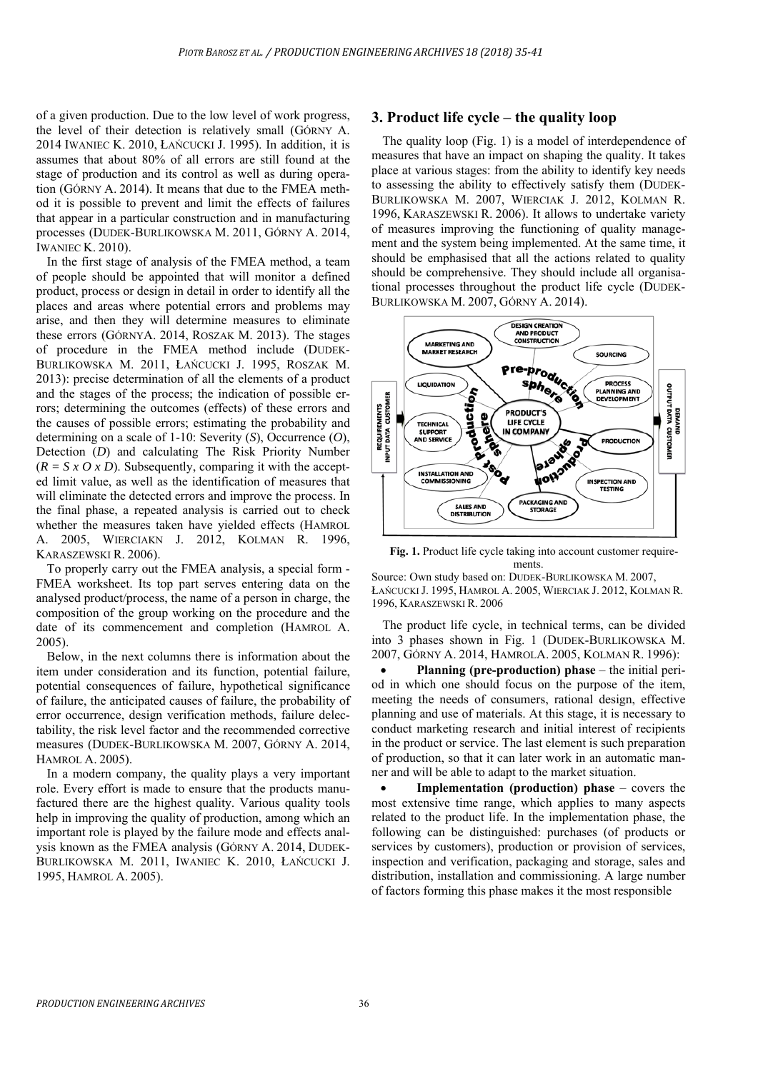of a given production. Due to the low level of work progress, the level of their detection is relatively small (GÓRNY A. 2014 IWANIEC K. 2010, ŁAŃCUCKI J. 1995). In addition, it is assumes that about 80% of all errors are still found at the stage of production and its control as well as during operation (GÓRNY A. 2014). It means that due to the FMEA method it is possible to prevent and limit the effects of failures that appear in a particular construction and in manufacturing processes (DUDEK-BURLIKOWSKA M. 2011, GÓRNY A. 2014, IWANIEC K. 2010).

In the first stage of analysis of the FMEA method, a team of people should be appointed that will monitor a defined product, process or design in detail in order to identify all the places and areas where potential errors and problems may arise, and then they will determine measures to eliminate these errors (GÓRNYA. 2014, ROSZAK M. 2013). The stages of procedure in the FMEA method include (DUDEK-BURLIKOWSKA M. 2011, ŁAŃCUCKI J. 1995, ROSZAK M. 2013): precise determination of all the elements of a product and the stages of the process; the indication of possible errors; determining the outcomes (effects) of these errors and the causes of possible errors; estimating the probability and determining on a scale of 1-10: Severity (*S*), Occurrence (*O*), Detection (*D*) and calculating The Risk Priority Number  $(R = S \times O \times D)$ . Subsequently, comparing it with the accepted limit value, as well as the identification of measures that will eliminate the detected errors and improve the process. In the final phase, a repeated analysis is carried out to check whether the measures taken have yielded effects (HAMROL A. 2005, WIERCIAKN J. 2012, KOLMAN R. 1996, KARASZEWSKI R. 2006).

To properly carry out the FMEA analysis, a special form - FMEA worksheet. Its top part serves entering data on the analysed product/process, the name of a person in charge, the composition of the group working on the procedure and the date of its commencement and completion (HAMROL A. 2005).

Below, in the next columns there is information about the item under consideration and its function, potential failure, potential consequences of failure, hypothetical significance of failure, the anticipated causes of failure, the probability of error occurrence, design verification methods, failure delectability, the risk level factor and the recommended corrective measures (DUDEK-BURLIKOWSKA M. 2007, GÓRNY A. 2014, HAMROL A. 2005).

In a modern company, the quality plays a very important role. Every effort is made to ensure that the products manufactured there are the highest quality. Various quality tools help in improving the quality of production, among which an important role is played by the failure mode and effects analysis known as the FMEA analysis (GÓRNY A. 2014, DUDEK-BURLIKOWSKA M. 2011, IWANIEC K. 2010, ŁAŃCUCKI J. 1995, HAMROL A. 2005).

## **3. Product life cycle – the quality loop**

The quality loop (Fig. 1) is a model of interdependence of measures that have an impact on shaping the quality. It takes place at various stages: from the ability to identify key needs to assessing the ability to effectively satisfy them (DUDEK-BURLIKOWSKA M. 2007, WIERCIAK J. 2012, KOLMAN R. 1996, KARASZEWSKI R. 2006). It allows to undertake variety of measures improving the functioning of quality management and the system being implemented. At the same time, it should be emphasised that all the actions related to quality should be comprehensive. They should include all organisational processes throughout the product life cycle (DUDEK-BURLIKOWSKA M. 2007, GÓRNY A. 2014).



Fig. 1. Product life cycle taking into account customer requirements.

Source: Own study based on: DUDEK-BURLIKOWSKA M. 2007, ŁAŃCUCKI J. 1995, HAMROL A. 2005, WIERCIAK J. 2012, KOLMAN R. 1996, KARASZEWSKI R. 2006

The product life cycle, in technical terms, can be divided into 3 phases shown in Fig. 1 (DUDEK-BURLIKOWSKA M. 2007, GÓRNY A. 2014, HAMROLA. 2005, KOLMAN R. 1996):

 **Planning (pre-production) phase** – the initial period in which one should focus on the purpose of the item, meeting the needs of consumers, rational design, effective planning and use of materials. At this stage, it is necessary to conduct marketing research and initial interest of recipients in the product or service. The last element is such preparation of production, so that it can later work in an automatic manner and will be able to adapt to the market situation.

 **Implementation (production) phase** – covers the most extensive time range, which applies to many aspects related to the product life. In the implementation phase, the following can be distinguished: purchases (of products or services by customers), production or provision of services, inspection and verification, packaging and storage, sales and distribution, installation and commissioning. A large number of factors forming this phase makes it the most responsible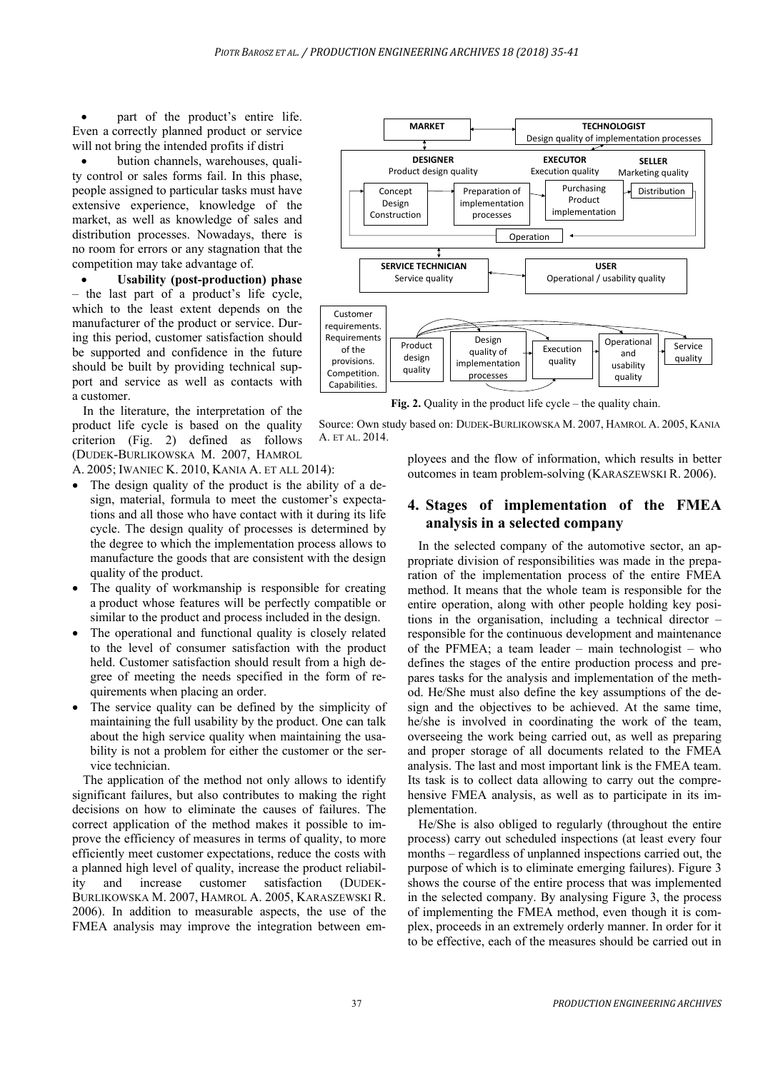part of the product's entire life. Even a correctly planned product or service will not bring the intended profits if distri

 bution channels, warehouses, quality control or sales forms fail. In this phase, people assigned to particular tasks must have extensive experience, knowledge of the market, as well as knowledge of sales and distribution processes. Nowadays, there is no room for errors or any stagnation that the competition may take advantage of.

 **Usability (post-production) phase** – the last part of a product's life cycle, which to the least extent depends on the manufacturer of the product or service. During this period, customer satisfaction should be supported and confidence in the future should be built by providing technical support and service as well as contacts with a customer.

In the literature, the interpretation of the product life cycle is based on the quality criterion (Fig. 2) defined as follows (DUDEK-BURLIKOWSKA M. 2007, HAMROL

A. 2005; IWANIEC K. 2010, KANIA A. ET ALL 2014):

- The design quality of the product is the ability of a design, material, formula to meet the customer's expectations and all those who have contact with it during its life cycle. The design quality of processes is determined by the degree to which the implementation process allows to manufacture the goods that are consistent with the design quality of the product.
- The quality of workmanship is responsible for creating a product whose features will be perfectly compatible or similar to the product and process included in the design.
- The operational and functional quality is closely related to the level of consumer satisfaction with the product held. Customer satisfaction should result from a high degree of meeting the needs specified in the form of requirements when placing an order.
- The service quality can be defined by the simplicity of maintaining the full usability by the product. One can talk about the high service quality when maintaining the usability is not a problem for either the customer or the service technician.

The application of the method not only allows to identify significant failures, but also contributes to making the right decisions on how to eliminate the causes of failures. The correct application of the method makes it possible to improve the efficiency of measures in terms of quality, to more efficiently meet customer expectations, reduce the costs with a planned high level of quality, increase the product reliability and increase customer satisfaction (DUDEK-BURLIKOWSKA M. 2007, HAMROL A. 2005, KARASZEWSKI R. 2006). In addition to measurable aspects, the use of the FMEA analysis may improve the integration between em-



**Fig. 2.** Quality in the product life cycle – the quality chain.

Source: Own study based on: DUDEK-BURLIKOWSKA M. 2007, HAMROL A. 2005, KANIA A. ET AL. 2014.

> ployees and the flow of information, which results in better outcomes in team problem-solving (KARASZEWSKI R. 2006).

## **4. Stages of implementation of the FMEA analysis in a selected company**

In the selected company of the automotive sector, an appropriate division of responsibilities was made in the preparation of the implementation process of the entire FMEA method. It means that the whole team is responsible for the entire operation, along with other people holding key positions in the organisation, including a technical director – responsible for the continuous development and maintenance of the PFMEA; a team leader – main technologist – who defines the stages of the entire production process and prepares tasks for the analysis and implementation of the method. He/She must also define the key assumptions of the design and the objectives to be achieved. At the same time, he/she is involved in coordinating the work of the team, overseeing the work being carried out, as well as preparing and proper storage of all documents related to the FMEA analysis. The last and most important link is the FMEA team. Its task is to collect data allowing to carry out the comprehensive FMEA analysis, as well as to participate in its implementation.

He/She is also obliged to regularly (throughout the entire process) carry out scheduled inspections (at least every four months – regardless of unplanned inspections carried out, the purpose of which is to eliminate emerging failures). Figure 3 shows the course of the entire process that was implemented in the selected company. By analysing Figure 3, the process of implementing the FMEA method, even though it is complex, proceeds in an extremely orderly manner. In order for it to be effective, each of the measures should be carried out in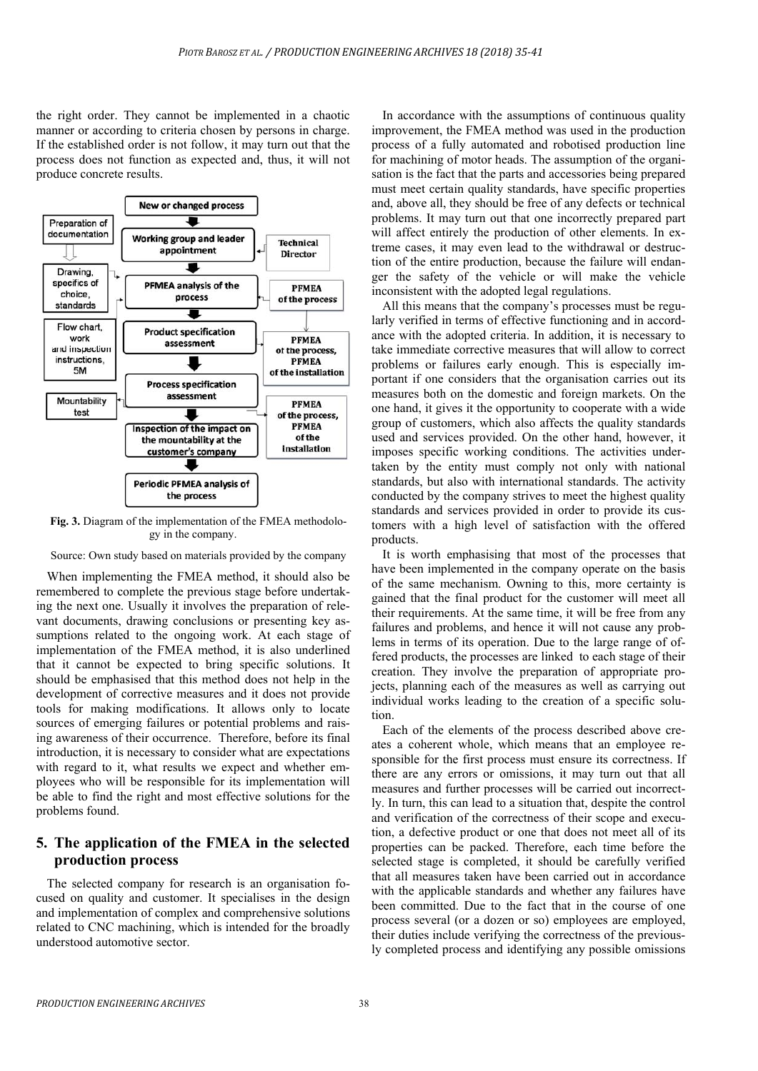the right order. They cannot be implemented in a chaotic manner or according to criteria chosen by persons in charge. If the established order is not follow, it may turn out that the process does not function as expected and, thus, it will not produce concrete results.



**Fig. 3.** Diagram of the implementation of the FMEA methodology in the company.

Source: Own study based on materials provided by the company

When implementing the FMEA method, it should also be remembered to complete the previous stage before undertaking the next one. Usually it involves the preparation of relevant documents, drawing conclusions or presenting key assumptions related to the ongoing work. At each stage of implementation of the FMEA method, it is also underlined that it cannot be expected to bring specific solutions. It should be emphasised that this method does not help in the development of corrective measures and it does not provide tools for making modifications. It allows only to locate sources of emerging failures or potential problems and raising awareness of their occurrence. Therefore, before its final introduction, it is necessary to consider what are expectations with regard to it, what results we expect and whether employees who will be responsible for its implementation will be able to find the right and most effective solutions for the problems found.

## **5. The application of the FMEA in the selected production process**

The selected company for research is an organisation focused on quality and customer. It specialises in the design and implementation of complex and comprehensive solutions related to CNC machining, which is intended for the broadly understood automotive sector.

In accordance with the assumptions of continuous quality improvement, the FMEA method was used in the production process of a fully automated and robotised production line for machining of motor heads. The assumption of the organisation is the fact that the parts and accessories being prepared must meet certain quality standards, have specific properties and, above all, they should be free of any defects or technical problems. It may turn out that one incorrectly prepared part will affect entirely the production of other elements. In extreme cases, it may even lead to the withdrawal or destruction of the entire production, because the failure will endanger the safety of the vehicle or will make the vehicle inconsistent with the adopted legal regulations.

All this means that the company's processes must be regularly verified in terms of effective functioning and in accordance with the adopted criteria. In addition, it is necessary to take immediate corrective measures that will allow to correct problems or failures early enough. This is especially important if one considers that the organisation carries out its measures both on the domestic and foreign markets. On the one hand, it gives it the opportunity to cooperate with a wide group of customers, which also affects the quality standards used and services provided. On the other hand, however, it imposes specific working conditions. The activities undertaken by the entity must comply not only with national standards, but also with international standards. The activity conducted by the company strives to meet the highest quality standards and services provided in order to provide its customers with a high level of satisfaction with the offered products.

It is worth emphasising that most of the processes that have been implemented in the company operate on the basis of the same mechanism. Owning to this, more certainty is gained that the final product for the customer will meet all their requirements. At the same time, it will be free from any failures and problems, and hence it will not cause any problems in terms of its operation. Due to the large range of offered products, the processes are linked to each stage of their creation. They involve the preparation of appropriate projects, planning each of the measures as well as carrying out individual works leading to the creation of a specific solution.

Each of the elements of the process described above creates a coherent whole, which means that an employee responsible for the first process must ensure its correctness. If there are any errors or omissions, it may turn out that all measures and further processes will be carried out incorrectly. In turn, this can lead to a situation that, despite the control and verification of the correctness of their scope and execution, a defective product or one that does not meet all of its properties can be packed. Therefore, each time before the selected stage is completed, it should be carefully verified that all measures taken have been carried out in accordance with the applicable standards and whether any failures have been committed. Due to the fact that in the course of one process several (or a dozen or so) employees are employed, their duties include verifying the correctness of the previously completed process and identifying any possible omissions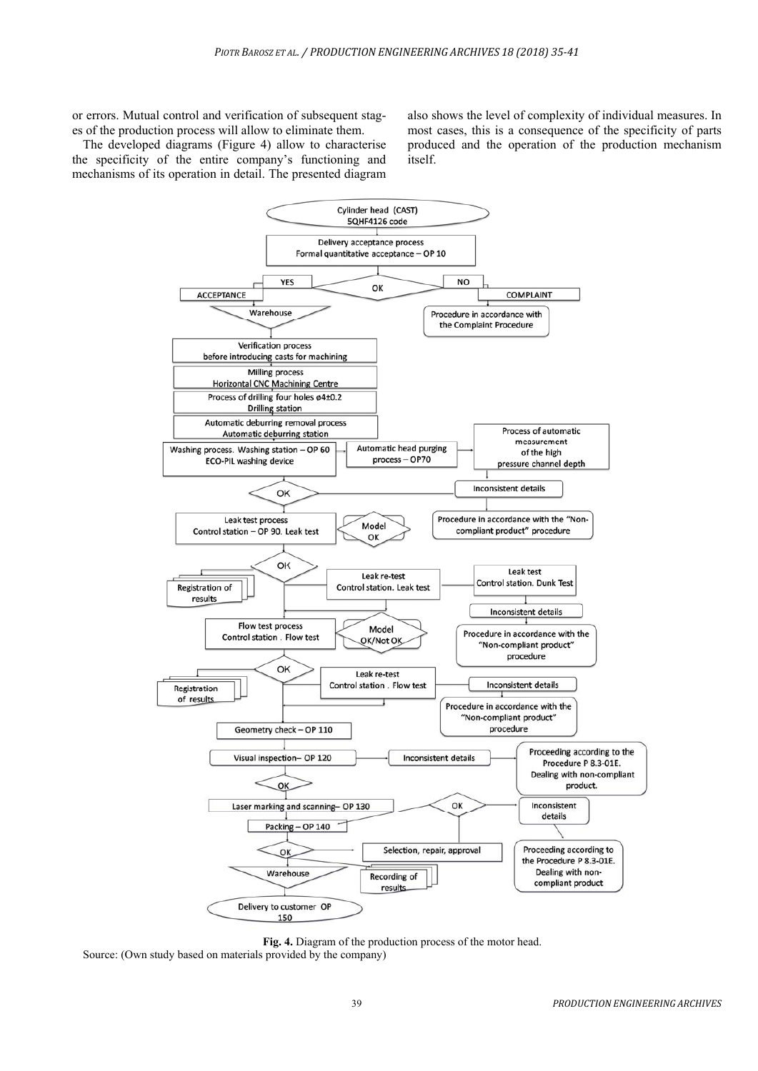or errors. Mutual control and verification of subsequent stages of the production process will allow to eliminate them.

The developed diagrams (Figure 4) allow to characterise the specificity of the entire company's functioning and mechanisms of its operation in detail. The presented diagram also shows the level of complexity of individual measures. In most cases, this is a consequence of the specificity of parts produced and the operation of the production mechanism itself.



**Fig. 4.** Diagram of the production process of the motor head. Source: (Own study based on materials provided by the company)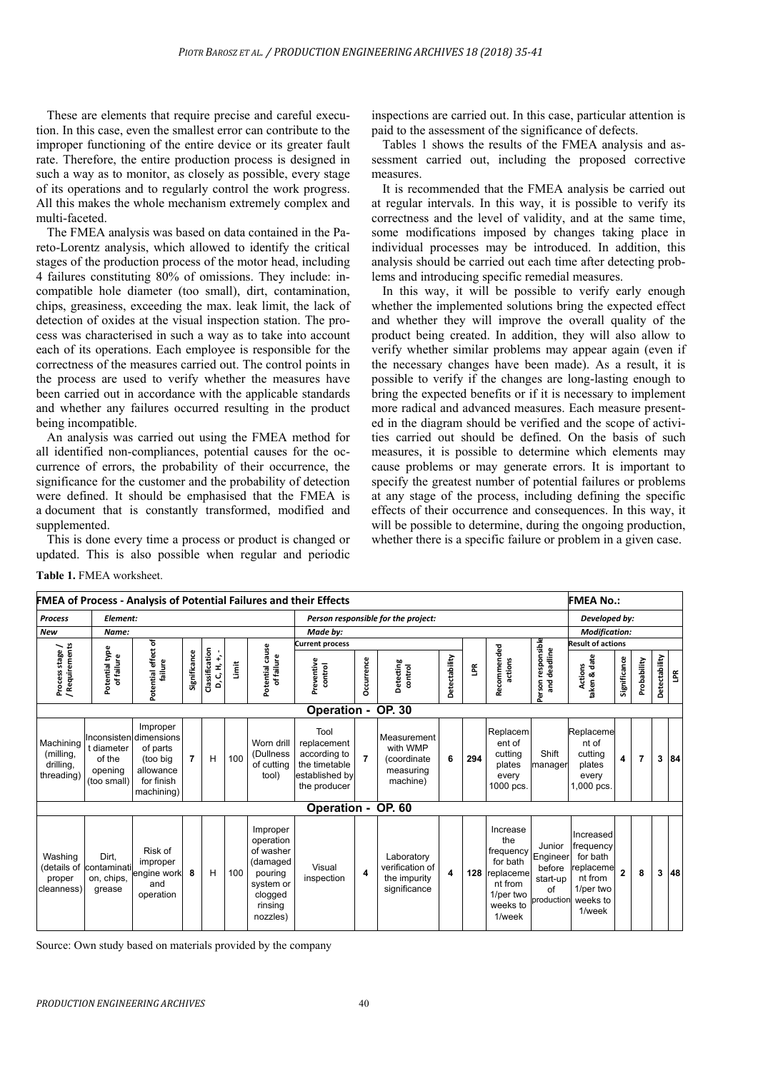These are elements that require precise and careful execution. In this case, even the smallest error can contribute to the improper functioning of the entire device or its greater fault rate. Therefore, the entire production process is designed in such a way as to monitor, as closely as possible, every stage of its operations and to regularly control the work progress. All this makes the whole mechanism extremely complex and multi-faceted.

The FMEA analysis was based on data contained in the Pareto-Lorentz analysis, which allowed to identify the critical stages of the production process of the motor head, including 4 failures constituting 80% of omissions. They include: incompatible hole diameter (too small), dirt, contamination, chips, greasiness, exceeding the max. leak limit, the lack of detection of oxides at the visual inspection station. The process was characterised in such a way as to take into account each of its operations. Each employee is responsible for the correctness of the measures carried out. The control points in the process are used to verify whether the measures have been carried out in accordance with the applicable standards and whether any failures occurred resulting in the product being incompatible.

An analysis was carried out using the FMEA method for all identified non-compliances, potential causes for the occurrence of errors, the probability of their occurrence, the significance for the customer and the probability of detection were defined. It should be emphasised that the FMEA is a document that is constantly transformed, modified and supplemented.

This is done every time a process or product is changed or updated. This is also possible when regular and periodic inspections are carried out. In this case, particular attention is paid to the assessment of the significance of defects.

Tables 1 shows the results of the FMEA analysis and assessment carried out, including the proposed corrective measures.

It is recommended that the FMEA analysis be carried out at regular intervals. In this way, it is possible to verify its correctness and the level of validity, and at the same time, some modifications imposed by changes taking place in individual processes may be introduced. In addition, this analysis should be carried out each time after detecting problems and introducing specific remedial measures.

In this way, it will be possible to verify early enough whether the implemented solutions bring the expected effect and whether they will improve the overall quality of the product being created. In addition, they will also allow to verify whether similar problems may appear again (even if the necessary changes have been made). As a result, it is possible to verify if the changes are long-lasting enough to bring the expected benefits or if it is necessary to implement more radical and advanced measures. Each measure presented in the diagram should be verified and the scope of activities carried out should be defined. On the basis of such measures, it is possible to determine which elements may cause problems or may generate errors. It is important to specify the greatest number of potential failures or problems at any stage of the process, including defining the specific effects of their occurrence and consequences. In this way, it will be possible to determine, during the ongoing production. whether there is a specific failure or problem in a given case.

**Table 1.** FMEA worksheet.

|                                                   |                                                |                                                                                                     |                |                                          |                        |                                                                                                          | <b>FMEA of Process - Analysis of Potential Failures and their Effects</b>              |                     |                                                                 |               |     |                                                                                                     |                                                                     | <b>FMEA No.:</b>                                                                             |                |                |               |    |
|---------------------------------------------------|------------------------------------------------|-----------------------------------------------------------------------------------------------------|----------------|------------------------------------------|------------------------|----------------------------------------------------------------------------------------------------------|----------------------------------------------------------------------------------------|---------------------|-----------------------------------------------------------------|---------------|-----|-----------------------------------------------------------------------------------------------------|---------------------------------------------------------------------|----------------------------------------------------------------------------------------------|----------------|----------------|---------------|----|
| <b>Process</b>                                    | Element:                                       |                                                                                                     |                |                                          |                        |                                                                                                          | Person responsible for the project:                                                    |                     |                                                                 |               |     |                                                                                                     |                                                                     | Developed by:                                                                                |                |                |               |    |
| <b>New</b>                                        | Name:                                          |                                                                                                     | Made by:       | <b>Modification:</b>                     |                        |                                                                                                          |                                                                                        |                     |                                                                 |               |     |                                                                                                     |                                                                     |                                                                                              |                |                |               |    |
| ╮                                                 |                                                |                                                                                                     |                |                                          | <b>Current process</b> |                                                                                                          |                                                                                        |                     |                                                                 |               |     | <b>Result of actions</b>                                                                            |                                                                     |                                                                                              |                |                |               |    |
| / Requirements<br>Process stage                   | Potential type<br>of failure                   | Potential effect of<br>failure                                                                      | Significance   | Classification<br>$\ddot{+}$<br>D, C, H, | İmit                   | Potential cause<br>of failure                                                                            | Preventive<br>control                                                                  | Dccurrence          | Detecting<br>control                                            | Detectability | Ĕ   | Recommended<br>actions                                                                              | Person responsible<br>deadline<br>ang                               | taken & date<br><b>Actions</b>                                                               | Significance   | Probability    | Detectability | ΕŘ |
|                                                   |                                                |                                                                                                     |                |                                          |                        |                                                                                                          | Operation -                                                                            |                     | <b>OP. 30</b>                                                   |               |     |                                                                                                     |                                                                     |                                                                                              |                |                |               |    |
| Machining<br>(milling,<br>drilling,<br>threading) | t diameter<br>of the<br>opening<br>(too small) | Improper<br>Inconsisten dimensions<br>of parts<br>(too bia<br>allowance<br>for finish<br>machining) | $\overline{7}$ | Н                                        | 100                    | Worn drill<br>(Dullness<br>of cutting<br>tool)                                                           | Tool<br>replacement<br>according to<br>the timetable<br>established by<br>the producer | $\overline{7}$      | Measurement<br>with WMP<br>(coordinate<br>measuring<br>machine) | 6             | 294 | Replacem<br>ent of<br>cutting<br>plates<br>every<br>1000 pcs.                                       | Shift<br>manager                                                    | Replaceme<br>nt of<br>cutting<br>plates<br>every<br>1,000 pcs.                               | 4              | $\overline{7}$ | 3             | 84 |
| <b>OP. 60</b><br><b>Operation -</b>               |                                                |                                                                                                     |                |                                          |                        |                                                                                                          |                                                                                        |                     |                                                                 |               |     |                                                                                                     |                                                                     |                                                                                              |                |                |               |    |
| Washing<br>(details of<br>proper<br>cleanness)    | Dirt.<br>contaminatil<br>on, chips,<br>grease  | Risk of<br>improper<br>engine work<br>and<br>operation                                              | 8              | н                                        | 100                    | Improper<br>operation<br>of washer<br>(damaged<br>pouring<br>system or<br>clogged<br>rinsing<br>nozzles) | Visual<br>inspection                                                                   | $\overline{\bf{4}}$ | Laboratory<br>verification of<br>the impurity<br>significance   | 4             | 128 | Increase<br>the<br>frequency<br>for bath<br>replaceme<br>nt from<br>1/per two<br>weeks to<br>1/week | Junior<br>Engineer<br>before<br>start-up<br>of<br><b>production</b> | Increased<br>frequency<br>for bath<br>eplaceme<br>nt from<br>1/per two<br>weeks to<br>1/week | $\overline{2}$ | 8              | 3             | 48 |

Source: Own study based on materials provided by the company